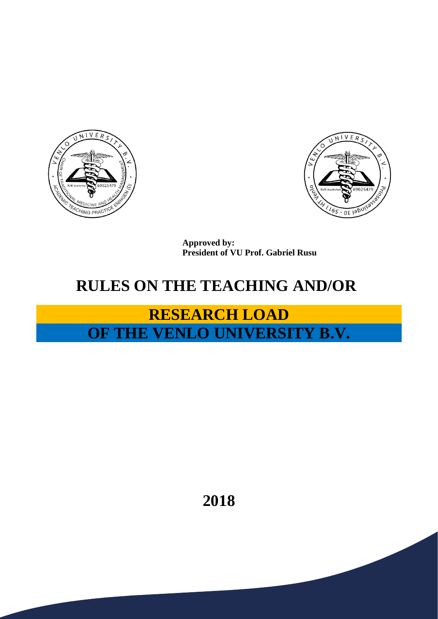



**Approved by: President of VU Prof. Gabriel Rusu**

## **RULES ON THE TEACHING AND/OR**

## **RESEARCH LOAD OF THE VENLO UNIVERSITY B.V.**

**2018**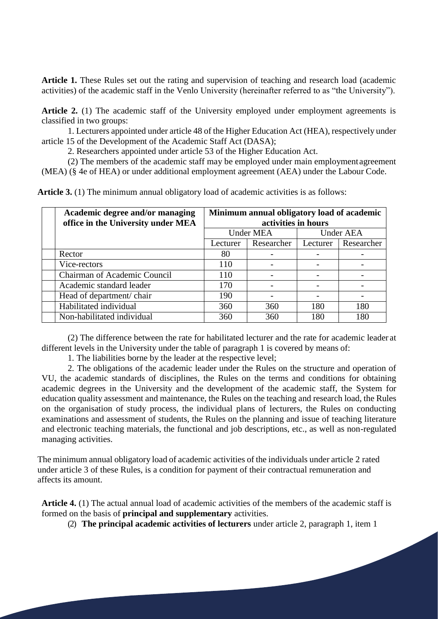**Article 1.** These Rules set out the rating and supervision of teaching and research load (academic activities) of the academic staff in the Venlo University (hereinafter referred to as "the University").

Article 2. (1) The academic staff of the University employed under employment agreements is classified in two groups:

1. Lecturers appointed under article 48 of the Higher Education Act (HEA), respectively under article 15 of the Development of the Academic Staff Act (DASA);

2. Researchers appointed under article 53 of the Higher Education Act.

(2) The members of the academic staff may be employed under main employmentagreement (MEA) (§ 4e of HEA) or under additional employment agreement (AEA) under the Labour Code.

| <b>Article 3.</b> (1) The minimum annual obligatory load of academic activities is as follows: |  |
|------------------------------------------------------------------------------------------------|--|
|------------------------------------------------------------------------------------------------|--|

| Academic degree and/or managing    | Minimum annual obligatory load of academic |            |                  |            |
|------------------------------------|--------------------------------------------|------------|------------------|------------|
| office in the University under MEA | activities in hours                        |            |                  |            |
|                                    | <b>Under MEA</b>                           |            | <b>Under AEA</b> |            |
|                                    | Lecturer                                   | Researcher | Lecturer         | Researcher |
| Rector                             | 80                                         |            |                  |            |
| Vice-rectors                       | 110                                        |            |                  |            |
| Chairman of Academic Council       | 110                                        |            |                  |            |
| Academic standard leader           | 170                                        |            |                  |            |
| Head of department/chair           | 190                                        |            |                  |            |
| Habilitated individual             | 360                                        | 360        | 180              | 180        |
| Non-habilitated individual         | 360                                        | 360        | 180              | 180        |

(2) The difference between the rate for habilitated lecturer and the rate for academic leader at different levels in the University under the table of paragraph 1 is covered by means of:

1. The liabilities borne by the leader at the respective level;

2. The obligations of the academic leader under the Rules on the structure and operation of VU, the academic standards of disciplines, the Rules on the terms and conditions for obtaining academic degrees in the University and the development of the academic staff, the System for education quality assessment and maintenance, the Rules on the teaching and research load, the Rules on the organisation of study process, the individual plans of lecturers, the Rules on conducting examinations and assessment of students, the Rules on the planning and issue of teaching literature and electronic teaching materials, the functional and job descriptions, etc., as well as non-regulated managing activities.

The minimum annual obligatory load of academic activities of the individuals under article 2 rated under article 3 of these Rules, is a condition for payment of their contractual remuneration and affects its amount.

**Article 4.** (1) The actual annual load of academic activities of the members of the academic staff is formed on the basis of **principal and supplementary** activities.

(2) **The principal academic activities of lecturers** under article 2, paragraph 1, item 1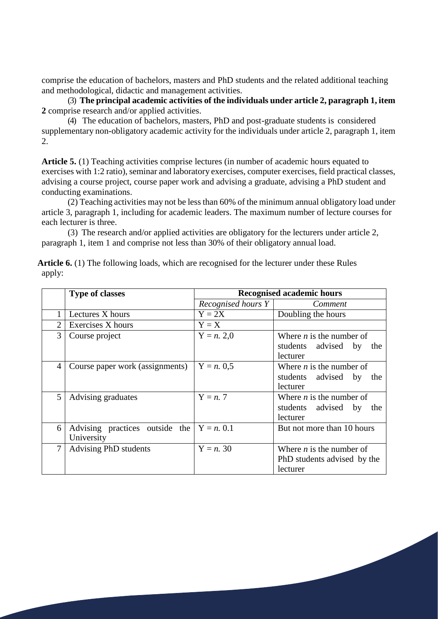comprise the education of bachelors, masters and PhD students and the related additional teaching and methodological, didactic and management activities.

(3) **The principal academic activities of the individuals under article 2, paragraph 1, item 2** comprise research and/or applied activities.

(4) The education of bachelors, masters, PhD and post-graduate students is considered supplementary non-obligatory academic activity for the individuals under article 2, paragraph 1, item 2.

**Article 5.** (1) Teaching activities comprise lectures (in number of academic hours equated to exercises with 1:2 ratio), seminar and laboratory exercises, computer exercises, field practical classes, advising a course project, course paper work and advising a graduate, advising a PhD student and conducting examinations.

(2) Teaching activities may not be less than 60% of the minimum annual obligatory load under article 3, paragraph 1, including for academic leaders. The maximum number of lecture courses for each lecturer is three.

(3) The research and/or applied activities are obligatory for the lecturers under article 2, paragraph 1, item 1 and comprise not less than 30% of their obligatory annual load.

|                             | <b>Type of classes</b>                                    | <b>Recognised academic hours</b> |                                                                            |  |
|-----------------------------|-----------------------------------------------------------|----------------------------------|----------------------------------------------------------------------------|--|
|                             |                                                           | Recognised hours Y               | Comment                                                                    |  |
|                             | Lectures X hours                                          | $Y = 2X$                         | Doubling the hours                                                         |  |
| $\mathcal{D}_{\mathcal{L}}$ | Exercises X hours                                         | $Y = X$                          |                                                                            |  |
| 3                           | Course project                                            | $Y = n$ . 2,0                    | Where <i>n</i> is the number of<br>students advised by<br>the<br>lecturer  |  |
| 4                           | Course paper work (assignments)                           | $Y = n. 0.5$                     | Where $n$ is the number of<br>students advised by<br>the<br>lecturer       |  |
| 5                           | Advising graduates                                        | $Y = n$ . 7                      | Where $n$ is the number of<br>students advised by<br>the<br>lecturer       |  |
| 6                           | Advising practices outside the $Y = n. 0.1$<br>University |                                  | But not more than 10 hours                                                 |  |
| 7                           | Advising PhD students                                     | $Y = n$ . 30                     | Where <i>n</i> is the number of<br>PhD students advised by the<br>lecturer |  |

Article 6. (1) The following loads, which are recognised for the lecturer under these Rules apply: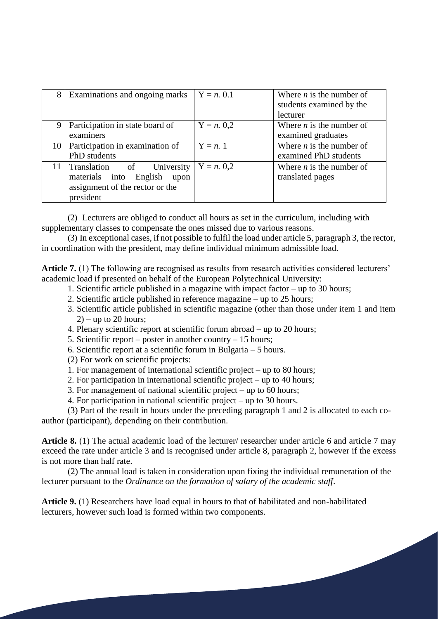|                 | Examinations and ongoing marks                                                                                    | $Y = n. 0.1$ | Where $n$ is the number of<br>students examined by the<br>lecturer |
|-----------------|-------------------------------------------------------------------------------------------------------------------|--------------|--------------------------------------------------------------------|
| 9               | Participation in state board of<br>examiners                                                                      | $Y = n. 0,2$ | Where $n$ is the number of<br>examined graduates                   |
| 10              | Participation in examination of<br>PhD students                                                                   | $Y=n, 1$     | Where $n$ is the number of<br>examined PhD students                |
| 11 <sup>1</sup> | Translation<br>of University<br>materials into<br>English<br>upon<br>assignment of the rector or the<br>president | $Y = n. 0,2$ | Where $n$ is the number of<br>translated pages                     |

(2) Lecturers are obliged to conduct all hours as set in the curriculum, including with supplementary classes to compensate the ones missed due to various reasons.

(3) In exceptional cases, if not possible to fulfil the load under article 5, paragraph 3, the rector, in coordination with the president, may define individual minimum admissible load.

**Article 7.** (1) The following are recognised as results from research activities considered lecturers' academic load if presented on behalf of the European Polytechnical University:

- 1. Scientific article published in a magazine with impact factor up to 30 hours;
- 2. Scientific article published in reference magazine up to 25 hours;
- 3. Scientific article published in scientific magazine (other than those under item 1 and item  $2)$  – up to 20 hours;
- 4. Plenary scientific report at scientific forum abroad up to 20 hours;
- 5. Scientific report poster in another country 15 hours;
- 6. Scientific report at a scientific forum in Bulgaria 5 hours.
- (2) For work on scientific projects:
- 1. For management of international scientific project up to 80 hours;
- 2. For participation in international scientific project up to 40 hours;
- 3. For management of national scientific project up to 60 hours;
- 4. For participation in national scientific project up to 30 hours.

(3) Part of the result in hours under the preceding paragraph 1 and 2 is allocated to each coauthor (participant), depending on their contribution.

**Article 8.** (1) The actual academic load of the lecturer/ researcher under article 6 and article 7 may exceed the rate under article 3 and is recognised under article 8, paragraph 2, however if the excess is not more than half rate.

(2) The annual load is taken in consideration upon fixing the individual remuneration of the lecturer pursuant to the *Ordinance on the formation of salary of the academic staff*.

**Article 9.** (1) Researchers have load equal in hours to that of habilitated and non-habilitated lecturers, however such load is formed within two components.